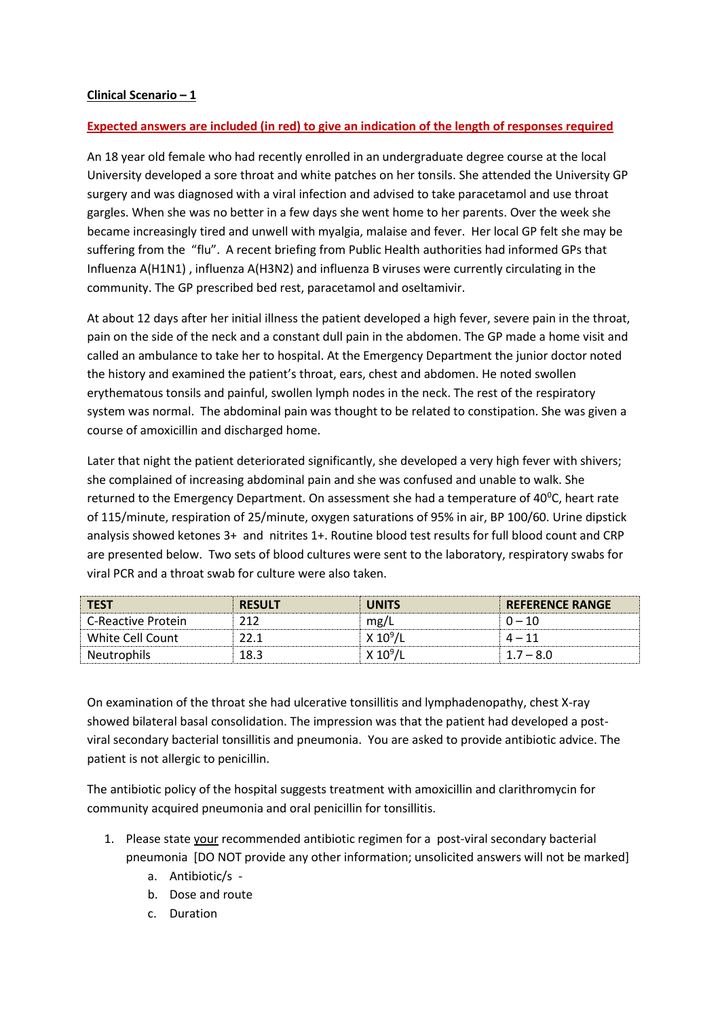## **Clinical Scenario – 1**

## **Expected answers are included (in red) to give an indication of the length of responses required**

An 18 year old female who had recently enrolled in an undergraduate degree course at the local University developed a sore throat and white patches on her tonsils. She attended the University GP surgery and was diagnosed with a viral infection and advised to take paracetamol and use throat gargles. When she was no better in a few days she went home to her parents. Over the week she became increasingly tired and unwell with myalgia, malaise and fever. Her local GP felt she may be suffering from the "flu". A recent briefing from Public Health authorities had informed GPs that Influenza A(H1N1) , influenza A(H3N2) and influenza B viruses were currently circulating in the community. The GP prescribed bed rest, paracetamol and oseltamivir.

At about 12 days after her initial illness the patient developed a high fever, severe pain in the throat, pain on the side of the neck and a constant dull pain in the abdomen. The GP made a home visit and called an ambulance to take her to hospital. At the Emergency Department the junior doctor noted the history and examined the patient's throat, ears, chest and abdomen. He noted swollen erythematous tonsils and painful, swollen lymph nodes in the neck. The rest of the respiratory system was normal. The abdominal pain was thought to be related to constipation. She was given a course of amoxicillin and discharged home.

Later that night the patient deteriorated significantly, she developed a very high fever with shivers; she complained of increasing abdominal pain and she was confused and unable to walk. She returned to the Emergency Department. On assessment she had a temperature of  $40^{\circ}$ C, heart rate of 115/minute, respiration of 25/minute, oxygen saturations of 95% in air, BP 100/60. Urine dipstick analysis showed ketones 3+ and nitrites 1+. Routine blood test results for full blood count and CRP are presented below. Two sets of blood cultures were sent to the laboratory, respiratory swabs for viral PCR and a throat swab for culture were also taken.

| <b>TEST</b>        | <b>RESULT</b> | <b>JNITS</b>      | <b>REFERENCE RANGE</b> |
|--------------------|---------------|-------------------|------------------------|
| C-Reactive Protein |               | mg/               | $0 - 10$               |
| White Cell Count   |               | X 10 <sup>9</sup> | $4-$                   |
| <b>Neutrophils</b> | .8.3          | v                 | 7 – 8 C                |

On examination of the throat she had ulcerative tonsillitis and lymphadenopathy, chest X-ray showed bilateral basal consolidation. The impression was that the patient had developed a postviral secondary bacterial tonsillitis and pneumonia. You are asked to provide antibiotic advice. The patient is not allergic to penicillin.

The antibiotic policy of the hospital suggests treatment with amoxicillin and clarithromycin for community acquired pneumonia and oral penicillin for tonsillitis.

- 1. Please state your recommended antibiotic regimen for a post-viral secondary bacterial pneumonia [DO NOT provide any other information; unsolicited answers will not be marked]
	- a. Antibiotic/s -
	- b. Dose and route
	- c. Duration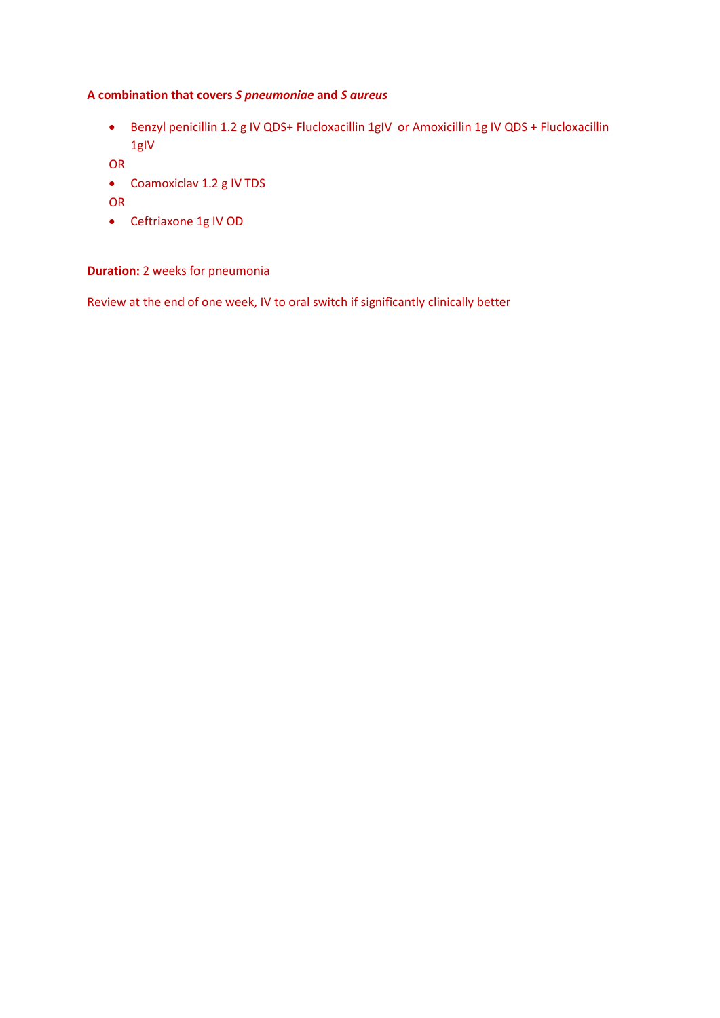## **A combination that covers** *S pneumoniae* **and** *S aureus*

 Benzyl penicillin 1.2 g IV QDS+ Flucloxacillin 1gIV or Amoxicillin 1g IV QDS + Flucloxacillin 1gIV

OR

- Coamoxiclav 1.2 g IV TDS
- OR
- Ceftriaxone 1g IV OD

## **Duration:** 2 weeks for pneumonia

Review at the end of one week, IV to oral switch if significantly clinically better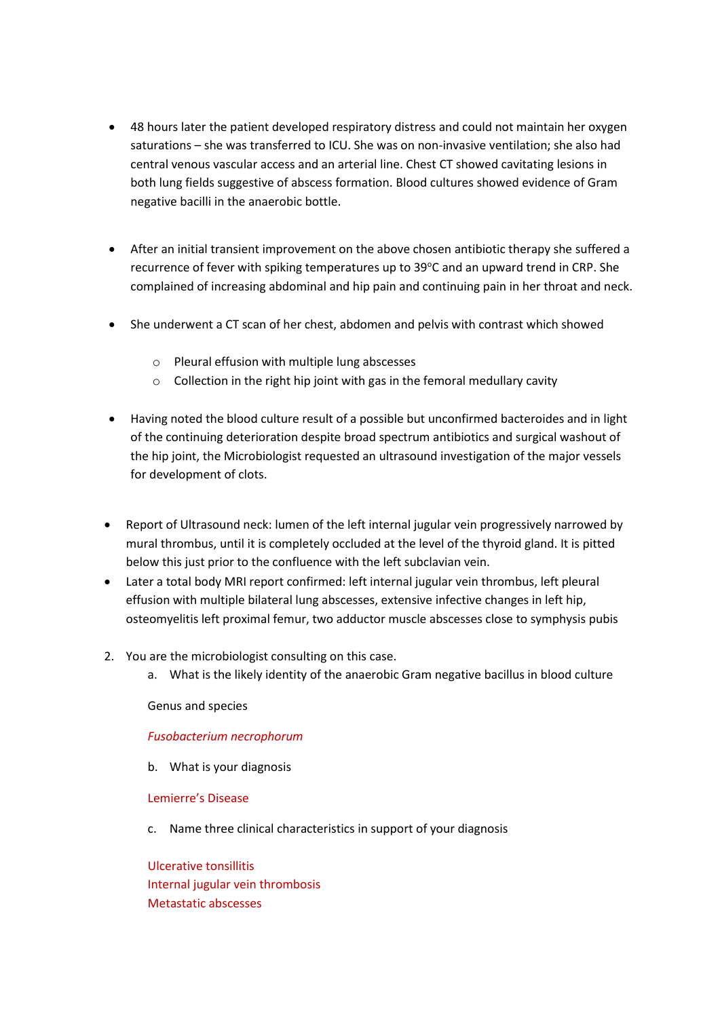- 48 hours later the patient developed respiratory distress and could not maintain her oxygen saturations – she was transferred to ICU. She was on non-invasive ventilation; she also had central venous vascular access and an arterial line. Chest CT showed cavitating lesions in both lung fields suggestive of abscess formation. Blood cultures showed evidence of Gram negative bacilli in the anaerobic bottle.
- After an initial transient improvement on the above chosen antibiotic therapy she suffered a recurrence of fever with spiking temperatures up to 39°C and an upward trend in CRP. She complained of increasing abdominal and hip pain and continuing pain in her throat and neck.
- She underwent a CT scan of her chest, abdomen and pelvis with contrast which showed
	- o Pleural effusion with multiple lung abscesses
	- o Collection in the right hip joint with gas in the femoral medullary cavity
- Having noted the blood culture result of a possible but unconfirmed bacteroides and in light of the continuing deterioration despite broad spectrum antibiotics and surgical washout of the hip joint, the Microbiologist requested an ultrasound investigation of the major vessels for development of clots.
- Report of Ultrasound neck: lumen of the left internal jugular vein progressively narrowed by mural thrombus, until it is completely occluded at the level of the thyroid gland. It is pitted below this just prior to the confluence with the left subclavian vein.
- Later a total body MRI report confirmed: left internal jugular vein thrombus, left pleural effusion with multiple bilateral lung abscesses, extensive infective changes in left hip, osteomyelitis left proximal femur, two adductor muscle abscesses close to symphysis pubis
- 2. You are the microbiologist consulting on this case.
	- a. What is the likely identity of the anaerobic Gram negative bacillus in blood culture

Genus and species

*Fusobacterium necrophorum*

b. What is your diagnosis

Lemierre's Disease

c. Name three clinical characteristics in support of your diagnosis

Ulcerative tonsillitis Internal jugular vein thrombosis Metastatic abscesses